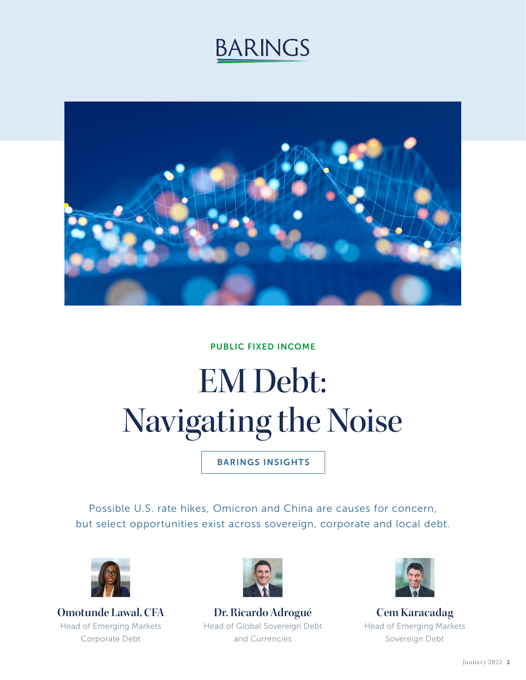## **BARINGS**



#### PUBLIC FIXED INCOME

# EM Debt: Navigating the Noise

BARINGS INSIGHTS

Possible U.S. rate hikes, Omicron and China are causes for concern, but select opportunities exist across sovereign, corporate and local debt.



**Omotunde Lawal, CFA** Head of Emerging Markets Corporate Debt



**Dr. Ricardo Adrogué** Head of Global Sovereign Debt and Currencies



**Cem Karacadag** Head of Emerging Markets Sovereign Debt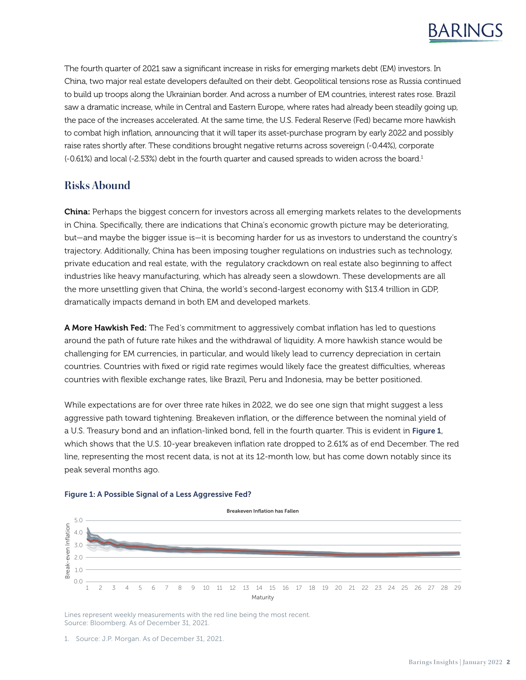The fourth quarter of 2021 saw a significant increase in risks for emerging markets debt (EM) investors. In China, two major real estate developers defaulted on their debt. Geopolitical tensions rose as Russia continued to build up troops along the Ukrainian border. And across a number of EM countries, interest rates rose. Brazil saw a dramatic increase, while in Central and Eastern Europe, where rates had already been steadily going up, the pace of the increases accelerated. At the same time, the U.S. Federal Reserve (Fed) became more hawkish to combat high inflation, announcing that it will taper its asset-purchase program by early 2022 and possibly raise rates shortly after. These conditions brought negative returns across sovereign (-0.44%), corporate (-0.61%) and local (-2.53%) debt in the fourth quarter and caused spreads to widen across the board.1

#### **Risks Abound**

China: Perhaps the biggest concern for investors across all emerging markets relates to the developments in China. Specifically, there are indications that China's economic growth picture may be deteriorating, but—and maybe the bigger issue is—it is becoming harder for us as investors to understand the country's trajectory. Additionally, China has been imposing tougher regulations on industries such as technology, private education and real estate, with the regulatory crackdown on real estate also beginning to affect industries like heavy manufacturing, which has already seen a slowdown. These developments are all the more unsettling given that China, the world's second-largest economy with \$13.4 trillion in GDP, dramatically impacts demand in both EM and developed markets.

**A More Hawkish Fed:** The Fed's commitment to aggressively combat inflation has led to questions around the path of future rate hikes and the withdrawal of liquidity. A more hawkish stance would be challenging for EM currencies, in particular, and would likely lead to currency depreciation in certain countries. Countries with fixed or rigid rate regimes would likely face the greatest difficulties, whereas countries with flexible exchange rates, like Brazil, Peru and Indonesia, may be better positioned.

While expectations are for over three rate hikes in 2022, we do see one sign that might suggest a less aggressive path toward tightening. Breakeven inflation, or the difference between the nominal yield of a U.S. Treasury bond and an inflation-linked bond, fell in the fourth quarter. This is evident in Figure 1, which shows that the U.S. 10-year breakeven inflation rate dropped to 2.61% as of end December. The red line, representing the most recent data, is not at its 12-month low, but has come down notably since its peak several months ago.



#### Figure 1: A Possible Signal of a Less Aggressive Fed?

Lines represent weekly measurements with the red line being the most recent. Source: Bloomberg. As of December 31, 2021.

<sup>1.</sup> Source: J.P. Morgan. As of December 31, 2021.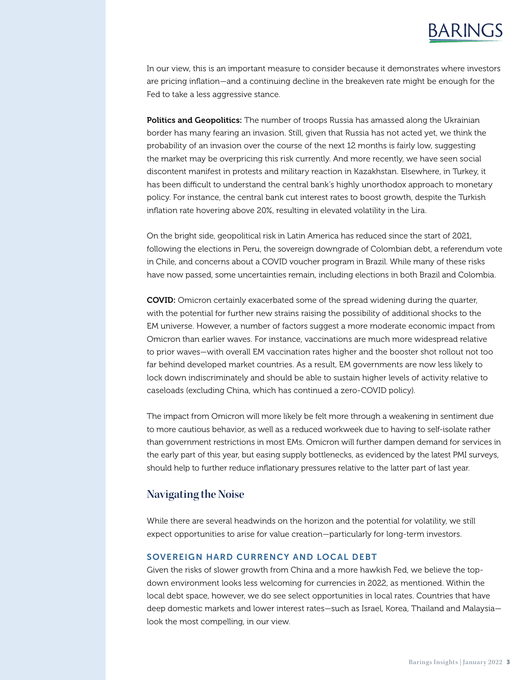## BARINGS

In our view, this is an important measure to consider because it demonstrates where investors are pricing inflation—and a continuing decline in the breakeven rate might be enough for the Fed to take a less aggressive stance.

Politics and Geopolitics: The number of troops Russia has amassed along the Ukrainian border has many fearing an invasion. Still, given that Russia has not acted yet, we think the probability of an invasion over the course of the next 12 months is fairly low, suggesting the market may be overpricing this risk currently. And more recently, we have seen social discontent manifest in protests and military reaction in Kazakhstan. Elsewhere, in Turkey, it has been difficult to understand the central bank's highly unorthodox approach to monetary policy. For instance, the central bank cut interest rates to boost growth, despite the Turkish inflation rate hovering above 20%, resulting in elevated volatility in the Lira.

On the bright side, geopolitical risk in Latin America has reduced since the start of 2021, following the elections in Peru, the sovereign downgrade of Colombian debt, a referendum vote in Chile, and concerns about a COVID voucher program in Brazil. While many of these risks have now passed, some uncertainties remain, including elections in both Brazil and Colombia.

COVID: Omicron certainly exacerbated some of the spread widening during the quarter, with the potential for further new strains raising the possibility of additional shocks to the EM universe. However, a number of factors suggest a more moderate economic impact from Omicron than earlier waves. For instance, vaccinations are much more widespread relative to prior waves—with overall EM vaccination rates higher and the booster shot rollout not too far behind developed market countries. As a result, EM governments are now less likely to lock down indiscriminately and should be able to sustain higher levels of activity relative to caseloads (excluding China, which has continued a zero-COVID policy).

The impact from Omicron will more likely be felt more through a weakening in sentiment due to more cautious behavior, as well as a reduced workweek due to having to self-isolate rather than government restrictions in most EMs. Omicron will further dampen demand for services in the early part of this year, but easing supply bottlenecks, as evidenced by the latest PMI surveys, should help to further reduce inflationary pressures relative to the latter part of last year.

#### **Navigating the Noise**

While there are several headwinds on the horizon and the potential for volatility, we still expect opportunities to arise for value creation—particularly for long-term investors.

#### SOVEREIGN HARD CURRENCY AND LOCAL DEBT

Given the risks of slower growth from China and a more hawkish Fed, we believe the topdown environment looks less welcoming for currencies in 2022, as mentioned. Within the local debt space, however, we do see select opportunities in local rates. Countries that have deep domestic markets and lower interest rates—such as Israel, Korea, Thailand and Malaysia look the most compelling, in our view.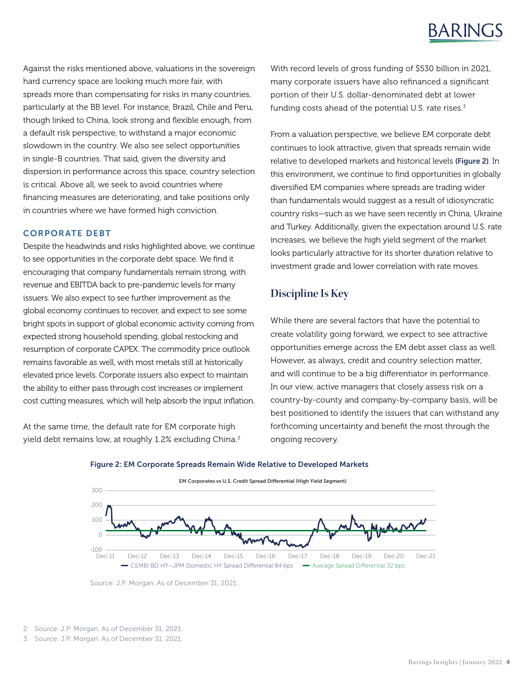## BARINGS

Against the risks mentioned above, valuations in the sovereign hard currency space are looking much more fair, with spreads more than compensating for risks in many countries, particularly at the BB level. For instance, Brazil, Chile and Peru, though linked to China, look strong and flexible enough, from a default risk perspective, to withstand a major economic slowdown in the country. We also see select opportunities in single-B countries. That said, given the diversity and dispersion in performance across this space, country selection is critical. Above all, we seek to avoid countries where financing measures are deteriorating, and take positions only in countries where we have formed high conviction.

#### CORPORATE DEBT

Despite the headwinds and risks highlighted above, we continue to see opportunities in the corporate debt space. We find it encouraging that company fundamentals remain strong, with revenue and EBITDA back to pre-pandemic levels for many issuers. We also expect to see further improvement as the global economy continues to recover, and expect to see some bright spots in support of global economic activity coming from expected strong household spending, global restocking and resumption of corporate CAPEX. The commodity price outlook remains favorable as well, with most metals still at historically elevated price levels. Corporate issuers also expect to maintain the ability to either pass through cost increases or implement cost cutting measures, which will help absorb the input inflation.

At the same time, the default rate for EM corporate high yield debt remains low, at roughly 1.2% excluding China.<sup>2</sup> With record levels of gross funding of \$530 billion in 2021, many corporate issuers have also refinanced a significant portion of their U.S. dollar-denominated debt at lower funding costs ahead of the potential U.S. rate rises. $3$ 

From a valuation perspective, we believe EM corporate debt continues to look attractive, given that spreads remain wide relative to developed markets and historical levels (Figure 2). In this environment, we continue to find opportunities in globally diversified EM companies where spreads are trading wider than fundamentals would suggest as a result of idiosyncratic country risks—such as we have seen recently in China, Ukraine and Turkey. Additionally, given the expectation around U.S. rate increases, we believe the high yield segment of the market looks particularly attractive for its shorter duration relative to investment grade and lower correlation with rate moves.

### **Discipline Is Key**

While there are several factors that have the potential to create volatility going forward, we expect to see attractive opportunities emerge across the EM debt asset class as well. However, as always, credit and country selection matter, and will continue to be a big differentiator in performance. In our view, active managers that closely assess risk on a country-by-county and company-by-company basis, will be best positioned to identify the issuers that can withstand any forthcoming uncertainty and benefit the most through the ongoing recovery.



Dec-11 Dec-12 Dec-13 Dec-14 Dec-15 Dec-16 Dec-17 Dec-18 Dec-19 Dec-20 Dec-21

- CEMBI BD HY-JPM Domestic HY Spread Differential 84 bps - - Average Spread Differential 32 bps

#### Figure 2: EM Corporate Spreads Remain Wide Relative to Developed Markets

 $-100 - 700$ 

Source: J.P. Morgan. As of December 31, 2021.

<sup>3.</sup> Source: J.P. Morgan. As of December 31, 2021.